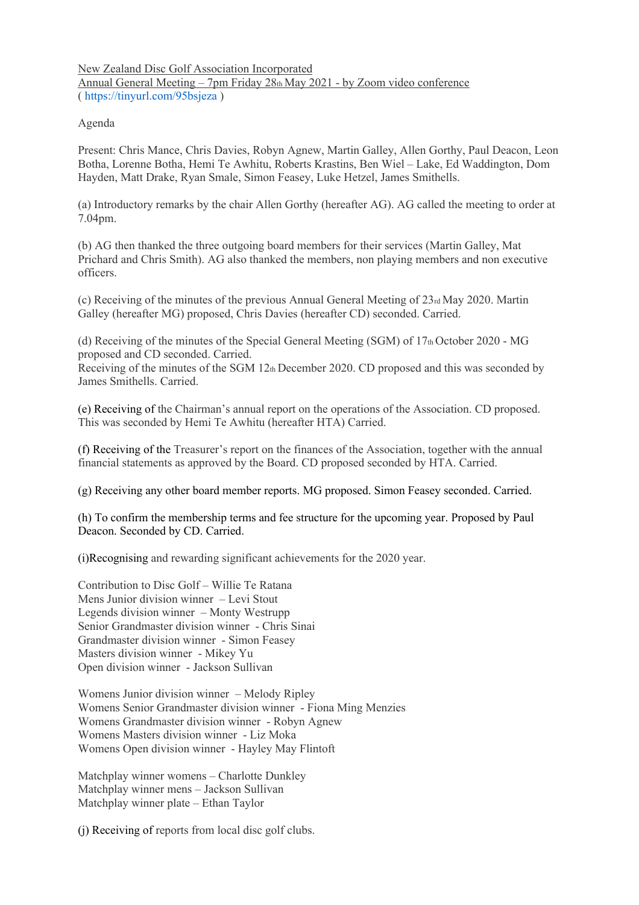New Zealand Disc Golf Association Incorporated Annual General Meeting – 7pm Friday 28th May 2021 - by Zoom video conference ( https://tinyurl.com/95bsjeza )

## Agenda

Present: Chris Mance, Chris Davies, Robyn Agnew, Martin Galley, Allen Gorthy, Paul Deacon, Leon Botha, Lorenne Botha, Hemi Te Awhitu, Roberts Krastins, Ben Wiel – Lake, Ed Waddington, Dom Hayden, Matt Drake, Ryan Smale, Simon Feasey, Luke Hetzel, James Smithells.

(a) Introductory remarks by the chair Allen Gorthy (hereafter AG). AG called the meeting to order at 7.04pm.

(b) AG then thanked the three outgoing board members for their services (Martin Galley, Mat Prichard and Chris Smith). AG also thanked the members, non playing members and non executive officers.

(c) Receiving of the minutes of the previous Annual General Meeting of 23rd May 2020. Martin Galley (hereafter MG) proposed, Chris Davies (hereafter CD) seconded. Carried.

(d) Receiving of the minutes of the Special General Meeting (SGM) of  $17<sub>th</sub>$  October 2020 - MG proposed and CD seconded. Carried.

Receiving of the minutes of the SGM 12th December 2020. CD proposed and this was seconded by James Smithells. Carried.

(e) Receiving of the Chairman's annual report on the operations of the Association. CD proposed. This was seconded by Hemi Te Awhitu (hereafter HTA) Carried.

(f) Receiving of the Treasurer's report on the finances of the Association, together with the annual financial statements as approved by the Board. CD proposed seconded by HTA. Carried.

(g) Receiving any other board member reports. MG proposed. Simon Feasey seconded. Carried.

(h) To confirm the membership terms and fee structure for the upcoming year. Proposed by Paul Deacon. Seconded by CD. Carried.

(i)Recognising and rewarding significant achievements for the 2020 year.

Contribution to Disc Golf – Willie Te Ratana Mens Junior division winner – Levi Stout Legends division winner – Monty Westrupp Senior Grandmaster division winner - Chris Sinai Grandmaster division winner - Simon Feasey Masters division winner - Mikey Yu Open division winner - Jackson Sullivan

Womens Junior division winner – Melody Ripley Womens Senior Grandmaster division winner - Fiona Ming Menzies Womens Grandmaster division winner - Robyn Agnew Womens Masters division winner - Liz Moka Womens Open division winner - Hayley May Flintoft

Matchplay winner womens – Charlotte Dunkley Matchplay winner mens – Jackson Sullivan Matchplay winner plate – Ethan Taylor

(j) Receiving of reports from local disc golf clubs.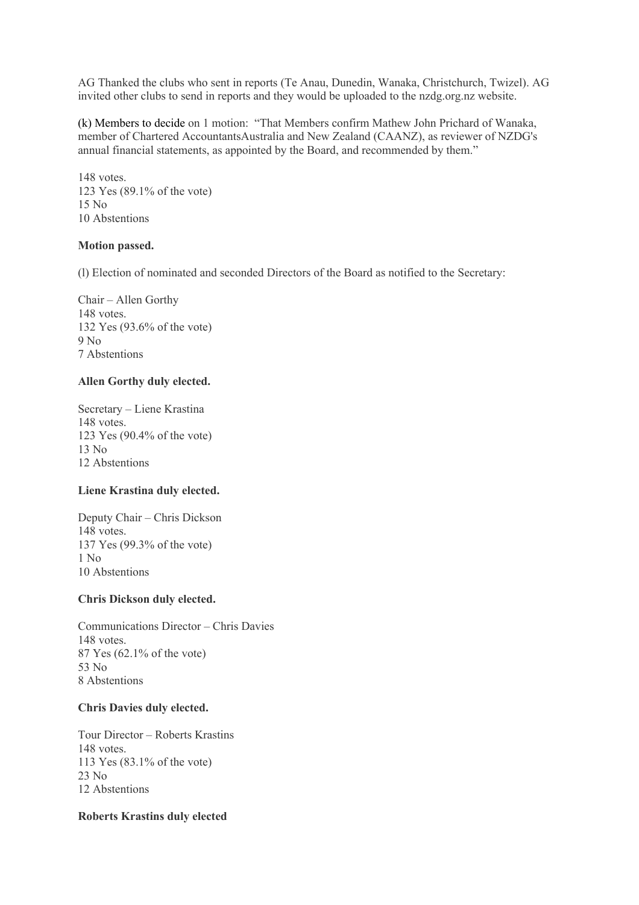AG Thanked the clubs who sent in reports (Te Anau, Dunedin, Wanaka, Christchurch, Twizel). AG invited other clubs to send in reports and they would be uploaded to the nzdg.org.nz website.

(k) Members to decide on 1 motion: "That Members confirm Mathew John Prichard of Wanaka, member of Chartered AccountantsAustralia and New Zealand (CAANZ), as reviewer of NZDG's annual financial statements, as appointed by the Board, and recommended by them."

148 votes. 123 Yes (89.1% of the vote) 15 No 10 Abstentions

#### **Motion passed.**

(l) Election of nominated and seconded Directors of the Board as notified to the Secretary:

Chair – Allen Gorthy 148 votes. 132 Yes (93.6% of the vote) 9 No 7 Abstentions

# **Allen Gorthy duly elected.**

Secretary – Liene Krastina 148 votes. 123 Yes (90.4% of the vote) 13 No 12 Abstentions

#### **Liene Krastina duly elected.**

Deputy Chair – Chris Dickson 148 votes. 137 Yes (99.3% of the vote) 1 No 10 Abstentions

## **Chris Dickson duly elected.**

Communications Director – Chris Davies 148 votes. 87 Yes (62.1% of the vote) 53 No 8 Abstentions

#### **Chris Davies duly elected.**

Tour Director – Roberts Krastins 148 votes. 113 Yes (83.1% of the vote) 23 No 12 Abstentions

# **Roberts Krastins duly elected**